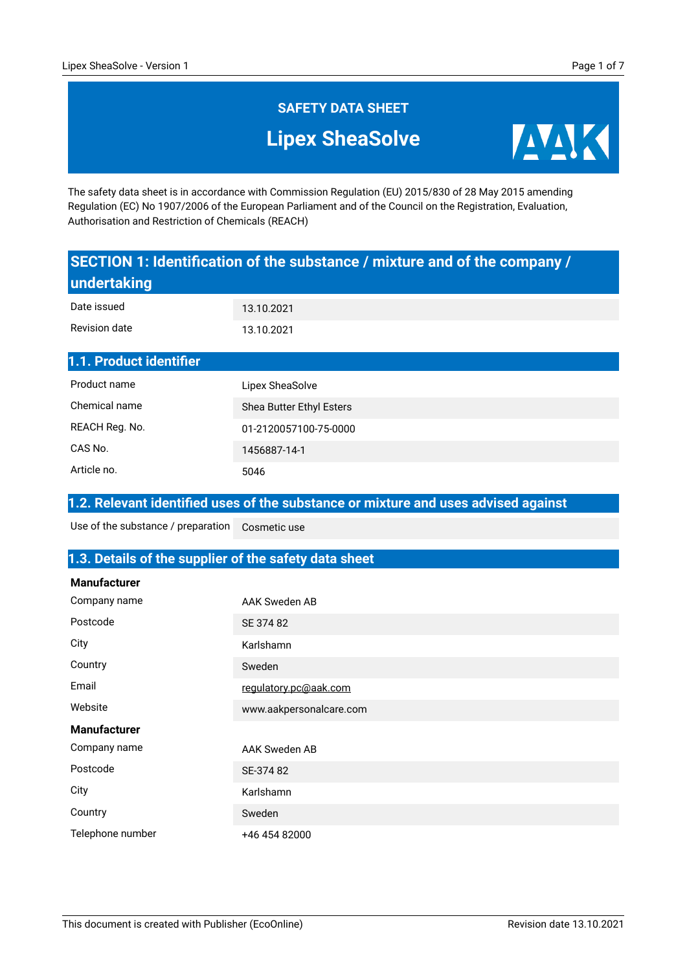**AVAIK** 

# **SAFETY DATA SHEET Lipex SheaSolve**

The safety data sheet is in accordance with Commission Regulation (EU) 2015/830 of 28 May 2015 amending Regulation (EC) No 1907/2006 of the European Parliament and of the Council on the Registration, Evaluation, Authorisation and Restriction of Chemicals (REACH)

#### **SECTION 1: Identification of the substance / mixture and of the company / undertaking** 13.10.2021 Date issued

| Revision date           | 13.10.2021               |
|-------------------------|--------------------------|
| 1.1. Product identifier |                          |
| Product name            | Lipex SheaSolve          |
| Chemical name           | Shea Butter Ethyl Esters |
| REACH Reg. No.          | 01-2120057100-75-0000    |
| CAS No.                 | 1456887-14-1             |

#### **1.2. Relevant identified uses of the substance or mixture and uses advised against**

Cosmetic use Use of the substance / preparation

Article no.

#### **1.3. Details of the supplier of the safety data sheet**

5046

| <b>Manufacturer</b> |                         |
|---------------------|-------------------------|
| Company name        | <b>AAK Sweden AB</b>    |
| Postcode            | SE 374 82               |
| City                | Karlshamn               |
| Country             | Sweden                  |
| Email               | regulatory.pc@aak.com   |
| Website             | www.aakpersonalcare.com |
| <b>Manufacturer</b> |                         |
| Company name        | <b>AAK Sweden AB</b>    |
| Postcode            | SE-374 82               |
| City                | Karlshamn               |
| Country             | Sweden                  |
| Telephone number    | +46 454 82000           |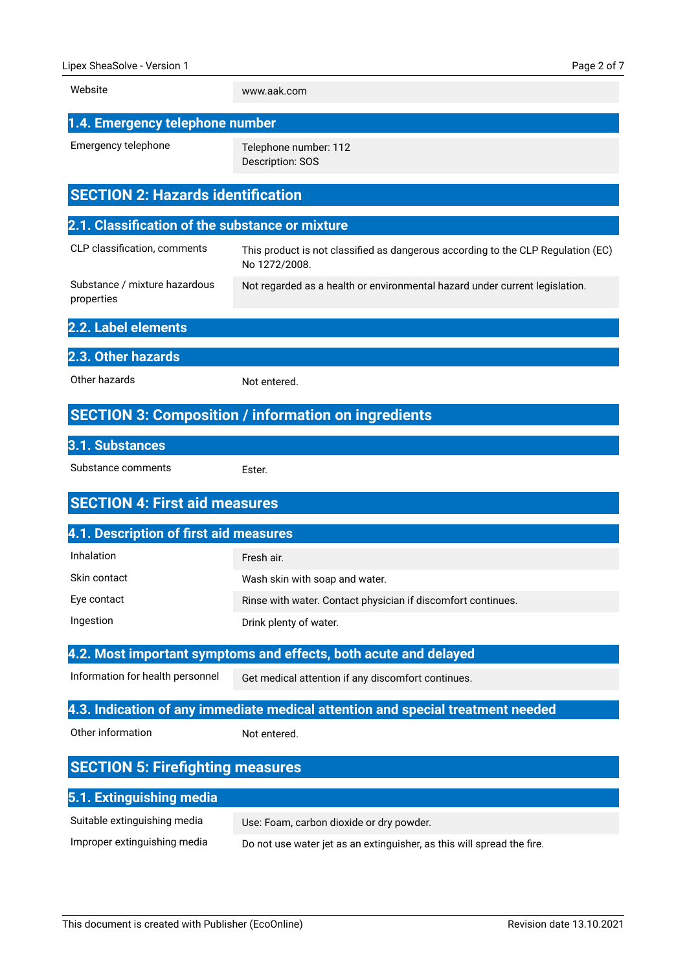| Website                                                                         | www.aak.com                                                                                       |
|---------------------------------------------------------------------------------|---------------------------------------------------------------------------------------------------|
| 1.4. Emergency telephone number                                                 |                                                                                                   |
| Emergency telephone                                                             | Telephone number: 112<br>Description: SOS                                                         |
| <b>SECTION 2: Hazards identification</b>                                        |                                                                                                   |
| 2.1. Classification of the substance or mixture                                 |                                                                                                   |
| CLP classification, comments                                                    | This product is not classified as dangerous according to the CLP Regulation (EC)<br>No 1272/2008. |
| Substance / mixture hazardous<br>properties                                     | Not regarded as a health or environmental hazard under current legislation.                       |
| 2.2. Label elements                                                             |                                                                                                   |
| 2.3. Other hazards                                                              |                                                                                                   |
| Other hazards                                                                   | Not entered.                                                                                      |
|                                                                                 | <b>SECTION 3: Composition / information on ingredients</b>                                        |
| 3.1. Substances                                                                 |                                                                                                   |
| Substance comments                                                              | Ester.                                                                                            |
| <b>SECTION 4: First aid measures</b>                                            |                                                                                                   |
| 4.1. Description of first aid measures                                          |                                                                                                   |
| Inhalation                                                                      | Fresh air.                                                                                        |
| Skin contact                                                                    | Wash skin with soap and water.                                                                    |
| Eye contact                                                                     | Rinse with water. Contact physician if discomfort continues.                                      |
| Ingestion                                                                       | Drink plenty of water.                                                                            |
|                                                                                 | 4.2. Most important symptoms and effects, both acute and delayed                                  |
| Information for health personnel                                                | Get medical attention if any discomfort continues.                                                |
| 4.3. Indication of any immediate medical attention and special treatment needed |                                                                                                   |
| Other information                                                               | Not entered.                                                                                      |
| <b>SECTION 5: Firefighting measures</b>                                         |                                                                                                   |
| 5.1. Extinguishing media                                                        |                                                                                                   |
| Suitable extinguishing media                                                    | Use: Foam, carbon dioxide or dry powder.                                                          |
| Improper extinguishing media                                                    | Do not use water jet as an extinguisher, as this will spread the fire.                            |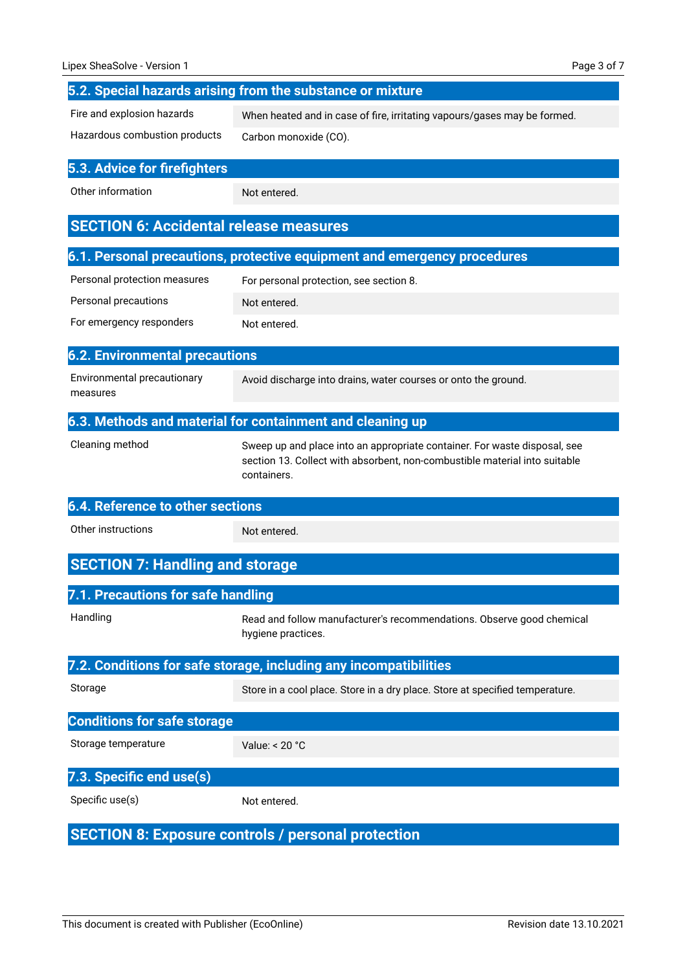| Lipex SheaSolve - Version 1                   | Page 3 of 7                                                                                                                                                            |
|-----------------------------------------------|------------------------------------------------------------------------------------------------------------------------------------------------------------------------|
|                                               | 5.2. Special hazards arising from the substance or mixture                                                                                                             |
| Fire and explosion hazards                    | When heated and in case of fire, irritating vapours/gases may be formed.                                                                                               |
| Hazardous combustion products                 | Carbon monoxide (CO).                                                                                                                                                  |
| 5.3. Advice for firefighters                  |                                                                                                                                                                        |
| Other information                             | Not entered.                                                                                                                                                           |
| <b>SECTION 6: Accidental release measures</b> |                                                                                                                                                                        |
|                                               | 6.1. Personal precautions, protective equipment and emergency procedures                                                                                               |
| Personal protection measures                  | For personal protection, see section 8.                                                                                                                                |
| Personal precautions                          | Not entered.                                                                                                                                                           |
| For emergency responders                      | Not entered.                                                                                                                                                           |
| <b>6.2. Environmental precautions</b>         |                                                                                                                                                                        |
| Environmental precautionary<br>measures       | Avoid discharge into drains, water courses or onto the ground.                                                                                                         |
|                                               | 6.3. Methods and material for containment and cleaning up                                                                                                              |
| Cleaning method                               | Sweep up and place into an appropriate container. For waste disposal, see<br>section 13. Collect with absorbent, non-combustible material into suitable<br>containers. |
| <b>6.4. Reference to other sections</b>       |                                                                                                                                                                        |
| Other instructions                            | Not entered.                                                                                                                                                           |
| <b>SECTION 7: Handling and storage</b>        |                                                                                                                                                                        |
| 7.1. Precautions for safe handling            |                                                                                                                                                                        |
| Handling                                      | Read and follow manufacturer's recommendations. Observe good chemical<br>hygiene practices.                                                                            |
|                                               | 7.2. Conditions for safe storage, including any incompatibilities                                                                                                      |
| Storage                                       | Store in a cool place. Store in a dry place. Store at specified temperature.                                                                                           |
| <b>Conditions for safe storage</b>            |                                                                                                                                                                        |
| Storage temperature                           | Value: $< 20 °C$                                                                                                                                                       |
| 7.3. Specific end use(s)                      |                                                                                                                                                                        |
| Specific use(s)                               | Not entered.                                                                                                                                                           |
|                                               | <b>SECTION 8: Exposure controls / personal protection</b>                                                                                                              |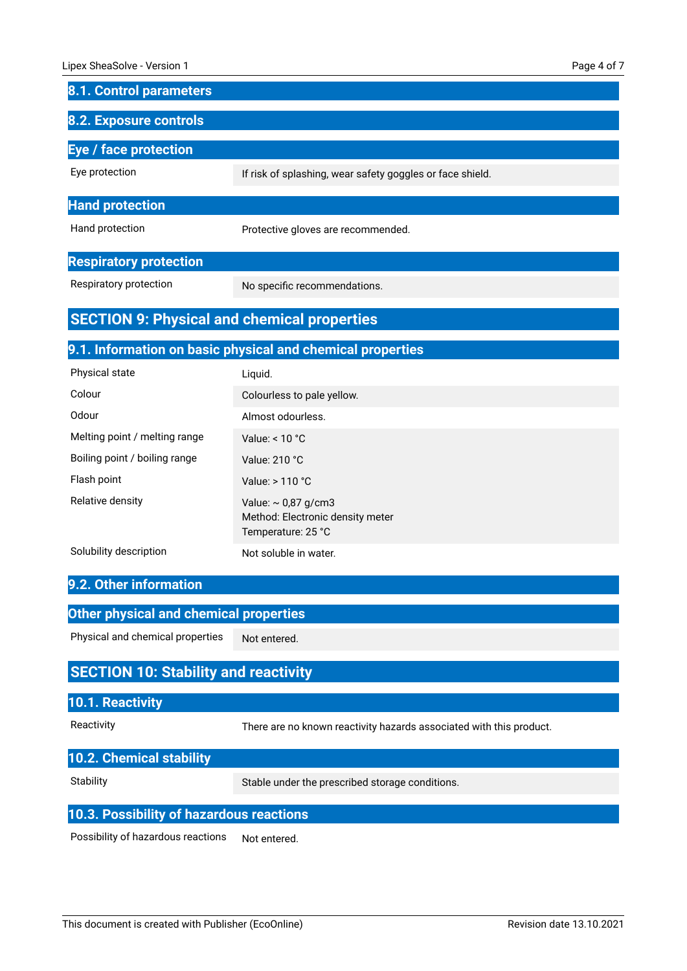| <b>8.1. Control parameters</b>                     |                                                                                    |
|----------------------------------------------------|------------------------------------------------------------------------------------|
| 8.2. Exposure controls                             |                                                                                    |
| <b>Eye / face protection</b>                       |                                                                                    |
| Eye protection                                     | If risk of splashing, wear safety goggles or face shield.                          |
| <b>Hand protection</b>                             |                                                                                    |
| Hand protection                                    | Protective gloves are recommended.                                                 |
| <b>Respiratory protection</b>                      |                                                                                    |
| Respiratory protection                             | No specific recommendations.                                                       |
| <b>SECTION 9: Physical and chemical properties</b> |                                                                                    |
|                                                    | 9.1. Information on basic physical and chemical properties                         |
| Physical state                                     | Liquid.                                                                            |
| Colour                                             | Colourless to pale yellow.                                                         |
| Odour                                              | Almost odourless.                                                                  |
| Melting point / melting range                      | Value: $< 10 °C$                                                                   |
| Boiling point / boiling range                      | Value: 210 °C                                                                      |
| Flash point                                        | Value: > 110 °C                                                                    |
| Relative density                                   | Value: $\sim$ 0,87 g/cm3<br>Method: Electronic density meter<br>Temperature: 25 °C |
| Solubility description                             | Not soluble in water.                                                              |
| 9.2. Other information                             |                                                                                    |
| <b>Other physical and chemical properties</b>      |                                                                                    |
| Physical and chemical properties                   | Not entered.                                                                       |
| <b>SECTION 10: Stability and reactivity</b>        |                                                                                    |
| 10.1. Reactivity                                   |                                                                                    |
| Reactivity                                         | There are no known reactivity hazards associated with this product.                |
| 10.2. Chemical stability                           |                                                                                    |
| Stability                                          | Stable under the prescribed storage conditions.                                    |

Stable under the prescribed storage conditions.

#### **10.3. Possibility of hazardous reactions**

Not entered. Possibility of hazardous reactions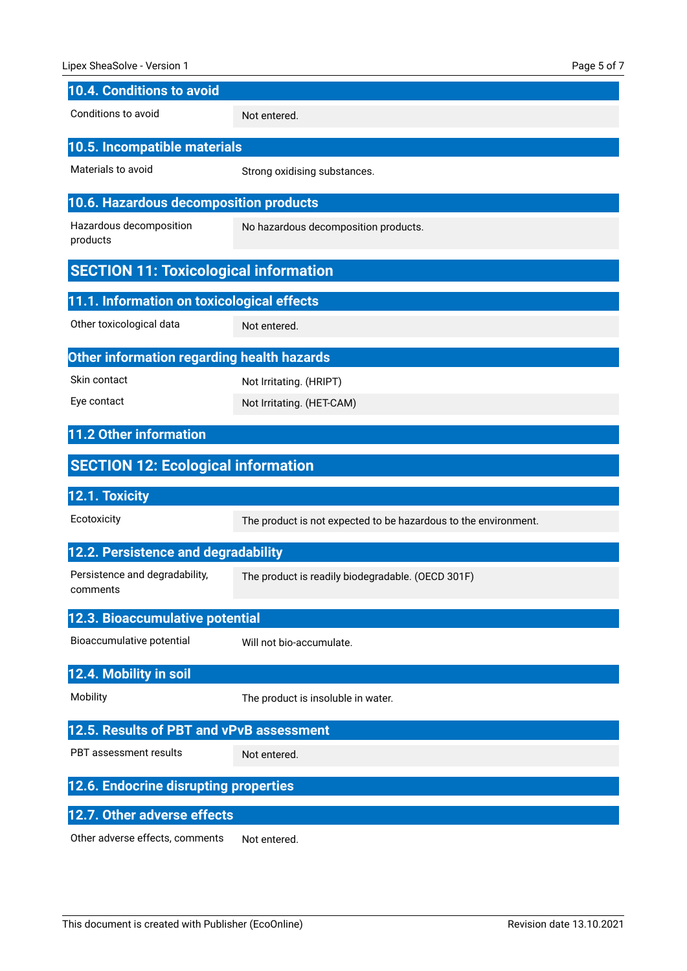| 10.4. Conditions to avoid                    |                                                                 |
|----------------------------------------------|-----------------------------------------------------------------|
| Conditions to avoid                          | Not entered.                                                    |
| 10.5. Incompatible materials                 |                                                                 |
| Materials to avoid                           | Strong oxidising substances.                                    |
| 10.6. Hazardous decomposition products       |                                                                 |
| Hazardous decomposition<br>products          | No hazardous decomposition products.                            |
| <b>SECTION 11: Toxicological information</b> |                                                                 |
| 11.1. Information on toxicological effects   |                                                                 |
| Other toxicological data                     | Not entered.                                                    |
| Other information regarding health hazards   |                                                                 |
| Skin contact                                 | Not Irritating. (HRIPT)                                         |
| Eye contact                                  | Not Irritating. (HET-CAM)                                       |
| 11.2 Other information                       |                                                                 |
| <b>SECTION 12: Ecological information</b>    |                                                                 |
| 12.1. Toxicity                               |                                                                 |
| Ecotoxicity                                  | The product is not expected to be hazardous to the environment. |
| 12.2. Persistence and degradability          |                                                                 |
| Persistence and degradability,<br>comments   | The product is readily biodegradable. (OECD 301F)               |
| 12.3. Bioaccumulative potential              |                                                                 |
| Bioaccumulative potential                    | Will not bio-accumulate.                                        |
| 12.4. Mobility in soil                       |                                                                 |
| Mobility                                     | The product is insoluble in water.                              |
| 12.5. Results of PBT and vPvB assessment     |                                                                 |
| PBT assessment results                       | Not entered.                                                    |
| 12.6. Endocrine disrupting properties        |                                                                 |
| 12.7. Other adverse effects                  |                                                                 |
| varoo offaata aammanta                       |                                                                 |

Other adverse effects, comments Not entered.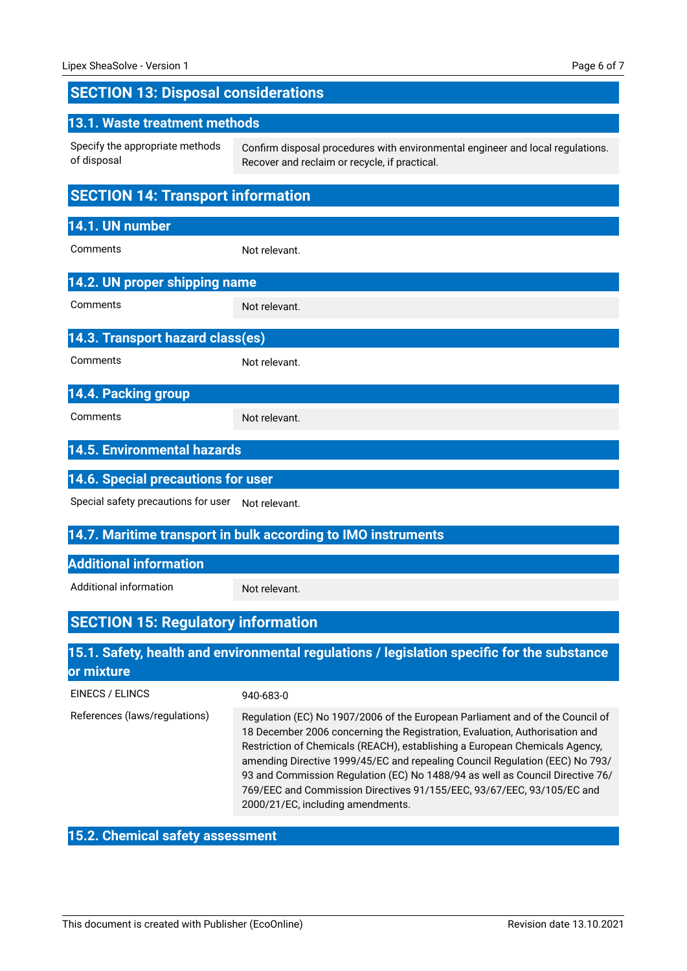## **SECTION 13: Disposal considerations**

| 13.1. Waste treatment methods                                 |                                                                                                                                 |
|---------------------------------------------------------------|---------------------------------------------------------------------------------------------------------------------------------|
| Specify the appropriate methods<br>of disposal                | Confirm disposal procedures with environmental engineer and local regulations.<br>Recover and reclaim or recycle, if practical. |
| <b>SECTION 14: Transport information</b>                      |                                                                                                                                 |
| 14.1. UN number                                               |                                                                                                                                 |
| Comments                                                      | Not relevant.                                                                                                                   |
| 14.2. UN proper shipping name                                 |                                                                                                                                 |
| Comments                                                      | Not relevant.                                                                                                                   |
| 14.3. Transport hazard class(es)                              |                                                                                                                                 |
| Comments                                                      | Not relevant.                                                                                                                   |
| 14.4. Packing group                                           |                                                                                                                                 |
| Comments                                                      | Not relevant.                                                                                                                   |
| <b>14.5. Environmental hazards</b>                            |                                                                                                                                 |
| 14.6. Special precautions for user                            |                                                                                                                                 |
| Special safety precautions for user                           | Not relevant.                                                                                                                   |
| 14.7. Maritime transport in bulk according to IMO instruments |                                                                                                                                 |
| <b>Additional information</b>                                 |                                                                                                                                 |
| Additional information                                        | Not relevant.                                                                                                                   |

# **SECTION 15: Regulatory information**

## **15.1. Safety, health and environmental regulations / legislation specific for the substance or mixture**

| EINECS / ELINCS               | 940-683-0                                                                                                                                                                                                                                                                                                                                                                                                                                                                                                                   |
|-------------------------------|-----------------------------------------------------------------------------------------------------------------------------------------------------------------------------------------------------------------------------------------------------------------------------------------------------------------------------------------------------------------------------------------------------------------------------------------------------------------------------------------------------------------------------|
| References (laws/regulations) | Regulation (EC) No 1907/2006 of the European Parliament and of the Council of<br>18 December 2006 concerning the Registration, Evaluation, Authorisation and<br>Restriction of Chemicals (REACH), establishing a European Chemicals Agency,<br>amending Directive 1999/45/EC and repealing Council Regulation (EEC) No 793/<br>93 and Commission Regulation (EC) No 1488/94 as well as Council Directive 76/<br>769/EEC and Commission Directives 91/155/EEC, 93/67/EEC, 93/105/EC and<br>2000/21/EC, including amendments. |

### **15.2. Chemical safety assessment**